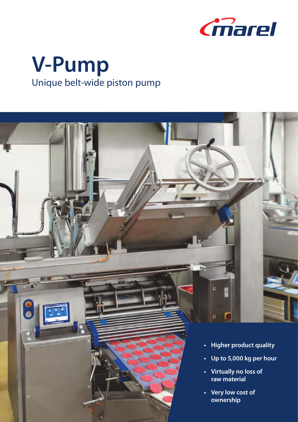

# **V-Pump** Unique belt-wide piston pump